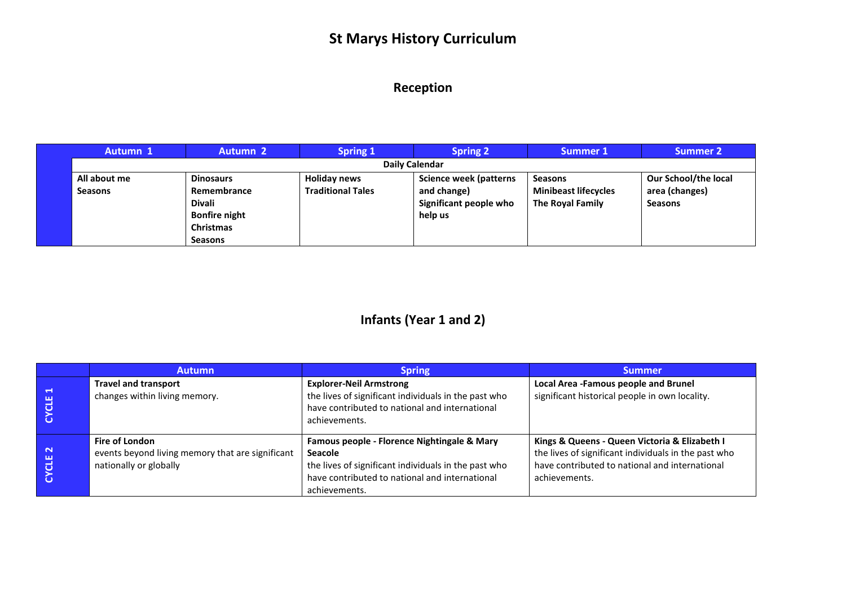# **St Marys History Curriculum**

#### **Reception**

| Autumn 1              | <b>Autumn 2</b>      | <b>Spring 1</b>          | <b>Spring 2</b>               | Summer 1                    | <b>Summer 2</b>             |
|-----------------------|----------------------|--------------------------|-------------------------------|-----------------------------|-----------------------------|
| <b>Daily Calendar</b> |                      |                          |                               |                             |                             |
| All about me          | <b>Dinosaurs</b>     | <b>Holiday news</b>      | <b>Science week (patterns</b> | <b>Seasons</b>              | <b>Our School/the local</b> |
| <b>Seasons</b>        | Remembrance          | <b>Traditional Tales</b> | and change)                   | <b>Minibeast lifecycles</b> | area (changes)              |
|                       | <b>Divali</b>        |                          | Significant people who        | <b>The Royal Family</b>     | <b>Seasons</b>              |
|                       | <b>Bonfire night</b> |                          | help us                       |                             |                             |
|                       | <b>Christmas</b>     |                          |                               |                             |                             |
|                       | <b>Seasons</b>       |                          |                               |                             |                             |

### **Infants (Year 1 and 2)**

|                            | <b>Autumn</b>                                                                                       | <b>Spring</b>                                                                                                                                                                            | <b>Summer</b>                                                                                                                                                            |
|----------------------------|-----------------------------------------------------------------------------------------------------|------------------------------------------------------------------------------------------------------------------------------------------------------------------------------------------|--------------------------------------------------------------------------------------------------------------------------------------------------------------------------|
| r – K<br>ш                 | <b>Travel and transport</b><br>changes within living memory.                                        | <b>Explorer-Neil Armstrong</b><br>the lives of significant individuals in the past who<br>have contributed to national and international<br>achievements.                                | Local Area -Famous people and Brunel<br>significant historical people in own locality.                                                                                   |
| $\mathbf{\mathbf{N}}$<br>ш | <b>Fire of London</b><br>events beyond living memory that are significant<br>nationally or globally | Famous people - Florence Nightingale & Mary<br><b>Seacole</b><br>the lives of significant individuals in the past who<br>have contributed to national and international<br>achievements. | Kings & Queens - Queen Victoria & Elizabeth I<br>the lives of significant individuals in the past who<br>have contributed to national and international<br>achievements. |